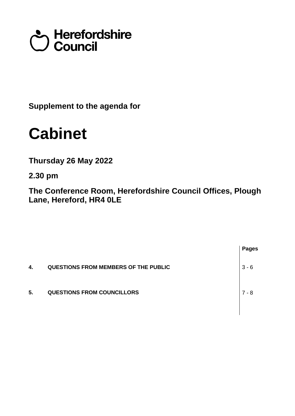# Council<br>Council

**Supplement to the agenda for**

## **Cabinet**

**Thursday 26 May 2022**

**2.30 pm**

**The Conference Room, Herefordshire Council Offices, Plough Lane, Hereford, HR4 0LE**

|    |                                             | <b>Pages</b> |
|----|---------------------------------------------|--------------|
| 4. | <b>QUESTIONS FROM MEMBERS OF THE PUBLIC</b> | $3 - 6$      |
| 5. | <b>QUESTIONS FROM COUNCILLORS</b>           | 7 - 8        |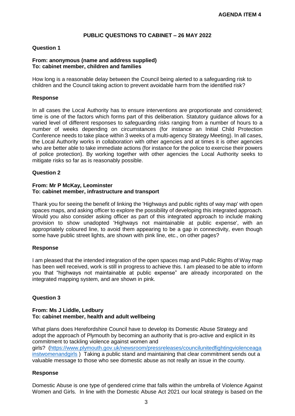#### **PUBLIC QUESTIONS TO CABINET – 26 MAY 2022**

#### **Question 1**

#### **From: anonymous (name and address supplied) To: cabinet member, children and families**

How long is a reasonable delay between the Council being alerted to a safeguarding risk to children and the Council taking action to prevent avoidable harm from the identified risk?

#### **Response**

In all cases the Local Authority has to ensure interventions are proportionate and considered; time is one of the factors which forms part of this deliberation. Statutory guidance allows for a varied level of different responses to safeguarding risks ranging from a number of hours to a number of weeks depending on circumstances (for instance an Initial Child Protection Conference needs to take place within 3 weeks of a multi-agency Strategy Meeting). In all cases, the Local Authority works in collaboration with other agencies and at times it is other agencies who are better able to take immediate actions (for instance for the police to exercise their powers of police protection). By working together with other agencies the Local Authority seeks to mitigate risks so far as is reasonably possible.

#### **Question 2**

#### **From: Mr P McKay, Leominster To: cabinet member, infrastructure and transport**

Thank you for seeing the benefit of linking the 'Highways and public rights of way map' with open spaces maps, and asking officer to explore the possibility of developing this integrated approach. Would you also consider asking officer as part of this integrated approach to include making provision to show unadopted 'Highways not maintainable at public expense', with an appropriately coloured line, to avoid them appearing to be a gap in connectivity, even though some have public street lights, are shown with pink line, etc., on other pages?

#### **Response**

I am pleased that the intended integration of the open spaces map and Public Rights of Way map has been well received, work is still in progress to achieve this. I am pleased to be able to inform you that "highways not maintainable at public expense" are already incorporated on the integrated mapping system, and are shown in pink.

#### **Question 3**

#### **From: Ms J Liddle, Ledbury To: cabinet member, health and adult wellbeing**

What plans does Herefordshire Council have to develop its Domestic Abuse Strategy and adopt the approach of Plymouth by becoming an authority that is pro-active and explicit in its commitment to tackling violence against women and girls? [\(https://www.plymouth.gov.uk/newsroom/pressreleases/councilunitedfightingviolenceaga](https://www.plymouth.gov.uk/newsroom/pressreleases/councilunitedfightingviolenceagainstwomenandgirls) [instwomenandgirls](https://www.plymouth.gov.uk/newsroom/pressreleases/councilunitedfightingviolenceagainstwomenandgirls) ) Taking a public stand and maintaining that clear commitment sends out a valuable message to those who see domestic abuse as not really an issue in the county.

#### **Response**

Domestic Abuse is one type of gendered crime that falls within the umbrella of Violence Against Women and Girls. In line with the Domestic Abuse Act 2021 our local strategy is based on the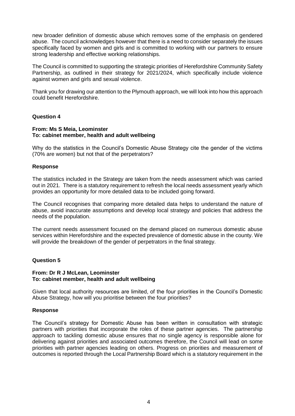new broader definition of domestic abuse which removes some of the emphasis on gendered abuse. The council acknowledges however that there is a need to consider separately the issues specifically faced by women and girls and is committed to working with our partners to ensure strong leadership and effective working relationships.

The Council is committed to supporting the strategic priorities of Herefordshire Community Safety Partnership, as outlined in their strategy for 2021/2024, which specifically include violence against women and girls and sexual violence.

Thank you for drawing our attention to the Plymouth approach, we will look into how this approach could benefit Herefordshire.

#### **Question 4**

#### **From: Ms S Meia, Leominster To: cabinet member, health and adult wellbeing**

Why do the statistics in the Council's Domestic Abuse Strategy cite the gender of the victims (70% are women) but not that of the perpetrators?

#### **Response**

The statistics included in the Strategy are taken from the needs assessment which was carried out in 2021. There is a statutory requirement to refresh the local needs assessment yearly which provides an opportunity for more detailed data to be included going forward.

The Council recognises that comparing more detailed data helps to understand the nature of abuse, avoid inaccurate assumptions and develop local strategy and policies that address the needs of the population.

The current needs assessment focused on the demand placed on numerous domestic abuse services within Herefordshire and the expected prevalence of domestic abuse in the county. We will provide the breakdown of the gender of perpetrators in the final strategy.

#### **Question 5**

#### **From: Dr R J McLean, Leominster To: cabinet member, health and adult wellbeing**

Given that local authority resources are limited, of the four priorities in the Council's Domestic Abuse Strategy, how will you prioritise between the four priorities?

#### **Response**

The Council's strategy for Domestic Abuse has been written in consultation with strategic partners with priorities that incorporate the roles of these partner agencies. The partnership approach to tackling domestic abuse ensures that no single agency is responsible alone for delivering against priorities and associated outcomes therefore, the Council will lead on some priorities with partner agencies leading on others. Progress on priorities and measurement of outcomes is reported through the Local Partnership Board which is a statutory requirement in the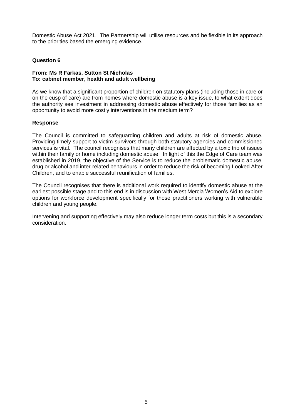Domestic Abuse Act 2021. The Partnership will utilise resources and be flexible in its approach to the priorities based the emerging evidence.

#### **Question 6**

#### **From: Ms R Farkas, Sutton St Nicholas To: cabinet member, health and adult wellbeing**

As we know that a significant proportion of children on statutory plans (including those in care or on the cusp of care) are from homes where domestic abuse is a key issue, to what extent does the authority see investment in addressing domestic abuse effectively for those families as an opportunity to avoid more costly interventions in the medium term?

#### **Response**

The Council is committed to safeguarding children and adults at risk of domestic abuse. Providing timely support to victim-survivors through both statutory agencies and commissioned services is vital. The council recognises that many children are affected by a toxic trio of issues within their family or home including domestic abuse. In light of this the Edge of Care team was established in 2019, the objective of the Service is to reduce the problematic domestic abuse, drug or alcohol and inter-related behaviours in order to reduce the risk of becoming Looked After Children, and to enable successful reunification of families.

The Council recognises that there is additional work required to identify domestic abuse at the earliest possible stage and to this end is in discussion with West Mercia Women's Aid to explore options for workforce development specifically for those practitioners working with vulnerable children and young people.

Intervening and supporting effectively may also reduce longer term costs but this is a secondary consideration.